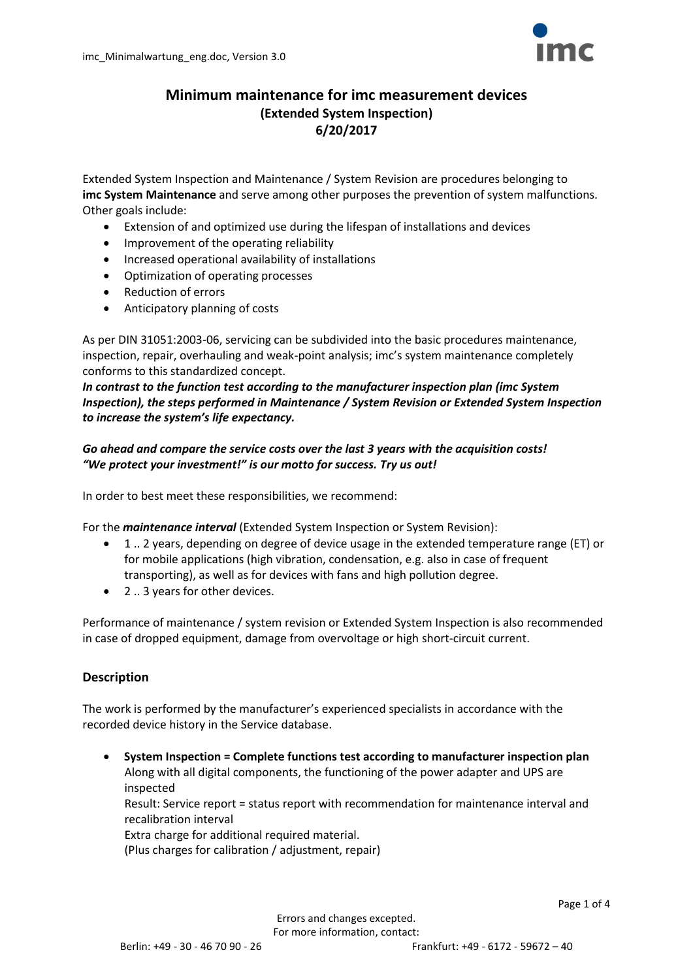

## **Minimum maintenance for imc measurement devices (Extended System Inspection) 6/20/2017**

Extended System Inspection and Maintenance / System Revision are procedures belonging to **imc System Maintenance** and serve among other purposes the prevention of system malfunctions. Other goals include:

- Extension of and optimized use during the lifespan of installations and devices
- Improvement of the operating reliability
- Increased operational availability of installations
- Optimization of operating processes
- Reduction of errors
- Anticipatory planning of costs

As per DIN 31051:2003-06, servicing can be subdivided into the basic procedures maintenance, inspection, repair, overhauling and weak-point analysis; imc's system maintenance completely conforms to this standardized concept.

*In contrast to the function test according to the manufacturer inspection plan (imc System Inspection), the steps performed in Maintenance / System Revision or Extended System Inspection to increase the system's life expectancy.*

*Go ahead and compare the service costs over the last 3 years with the acquisition costs! "We protect your investment!" is our motto for success. Try us out!*

In order to best meet these responsibilities, we recommend:

For the *maintenance interval* (Extended System Inspection or System Revision):

- 1 .. 2 years, depending on degree of device usage in the extended temperature range (ET) or for mobile applications (high vibration, condensation, e.g. also in case of frequent transporting), as well as for devices with fans and high pollution degree.
- 2 .. 3 years for other devices.

Performance of maintenance / system revision or Extended System Inspection is also recommended in case of dropped equipment, damage from overvoltage or high short-circuit current.

#### **Description**

The work is performed by the manufacturer's experienced specialists in accordance with the recorded device history in the Service database.

 **System Inspection = Complete functions test according to manufacturer inspection plan** Along with all digital components, the functioning of the power adapter and UPS are inspected Result: Service report = status report with recommendation for maintenance interval and recalibration interval Extra charge for additional required material. (Plus charges for calibration / adjustment, repair)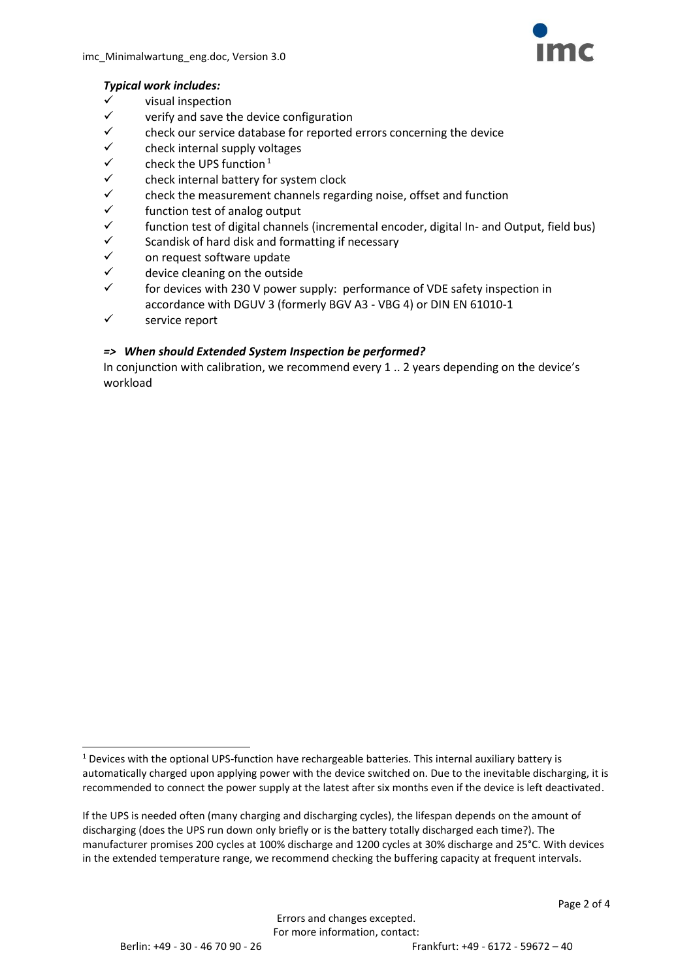

### *Typical work includes:*

- visual inspection
- $\checkmark$  verify and save the device configuration
- $\checkmark$  check our service database for reported errors concerning the device
- $\checkmark$  check internal supply voltages<br> $\checkmark$  check the UPS function <sup>1</sup>
- check the UPS function $1$
- $\checkmark$  check internal battery for system clock<br> $\checkmark$  check the measurement channels regar
- $\checkmark$  check the measurement channels regarding noise, offset and function  $\checkmark$  function test of analog output
- $\checkmark$  function test of analog output<br> $\checkmark$  function test of digital channel
- $\checkmark$  function test of digital channels (incremental encoder, digital In- and Output, field bus)<br> $\checkmark$  scandisk of hard disk and formatting if necessary
- Scandisk of hard disk and formatting if necessary
- $\checkmark$  on request software update
- $\checkmark$  device cleaning on the outside
- for devices with 230 V power supply: performance of VDE safety inspection in accordance with DGUV 3 (formerly BGV A3 - VBG 4) or DIN EN 61010-1
- $\checkmark$  service report

### *=> When should Extended System Inspection be performed?*

In conjunction with calibration, we recommend every 1 .. 2 years depending on the device's workload

 $\overline{a}$ 

<sup>&</sup>lt;sup>1</sup> Devices with the optional UPS-function have rechargeable batteries. This internal auxiliary battery is automatically charged upon applying power with the device switched on. Due to the inevitable discharging, it is recommended to connect the power supply at the latest after six months even if the device is left deactivated.

If the UPS is needed often (many charging and discharging cycles), the lifespan depends on the amount of discharging (does the UPS run down only briefly or is the battery totally discharged each time?). The manufacturer promises 200 cycles at 100% discharge and 1200 cycles at 30% discharge and 25°C. With devices in the extended temperature range, we recommend checking the buffering capacity at frequent intervals.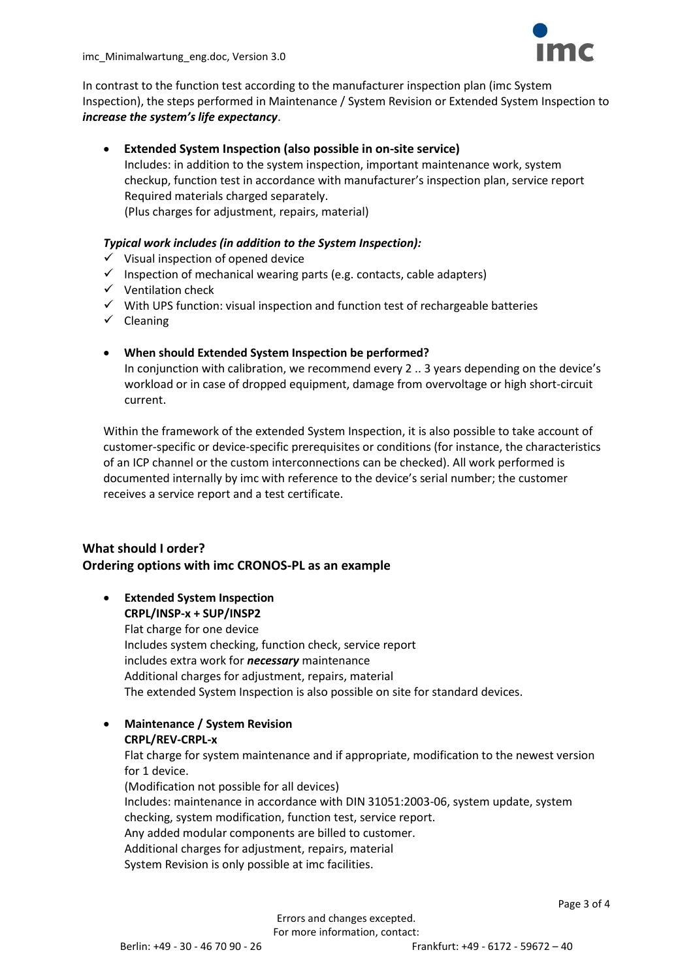In contrast to the function test according to the manufacturer inspection plan (imc System Inspection), the steps performed in Maintenance / System Revision or Extended System Inspection to *increase the system's life expectancy*.

#### **Extended System Inspection (also possible in on-site service)**

Includes: in addition to the system inspection, important maintenance work, system checkup, function test in accordance with manufacturer's inspection plan, service report Required materials charged separately.

(Plus charges for adjustment, repairs, material)

#### *Typical work includes (in addition to the System Inspection):*

- $\checkmark$  Visual inspection of opened device
- $\checkmark$  Inspection of mechanical wearing parts (e.g. contacts, cable adapters)
- $\checkmark$  Ventilation check
- $\checkmark$  With UPS function: visual inspection and function test of rechargeable batteries
- $\checkmark$  Cleaning

#### **When should Extended System Inspection be performed?**

In conjunction with calibration, we recommend every 2 .. 3 years depending on the device's workload or in case of dropped equipment, damage from overvoltage or high short-circuit current.

Within the framework of the extended System Inspection, it is also possible to take account of customer-specific or device-specific prerequisites or conditions (for instance, the characteristics of an ICP channel or the custom interconnections can be checked). All work performed is documented internally by imc with reference to the device's serial number; the customer receives a service report and a test certificate.

### **What should I order? Ordering options with imc CRONOS-PL as an example**

#### **Extended System Inspection CRPL/INSP-x + SUP/INSP2**

Flat charge for one device Includes system checking, function check, service report includes extra work for *necessary* maintenance Additional charges for adjustment, repairs, material The extended System Inspection is also possible on site for standard devices.

 **Maintenance / System Revision CRPL/REV-CRPL-x**

Flat charge for system maintenance and if appropriate, modification to the newest version for 1 device.

(Modification not possible for all devices) Includes: maintenance in accordance with DIN 31051:2003-06, system update, system checking, system modification, function test, service report. Any added modular components are billed to customer. Additional charges for adjustment, repairs, material System Revision is only possible at imc facilities.